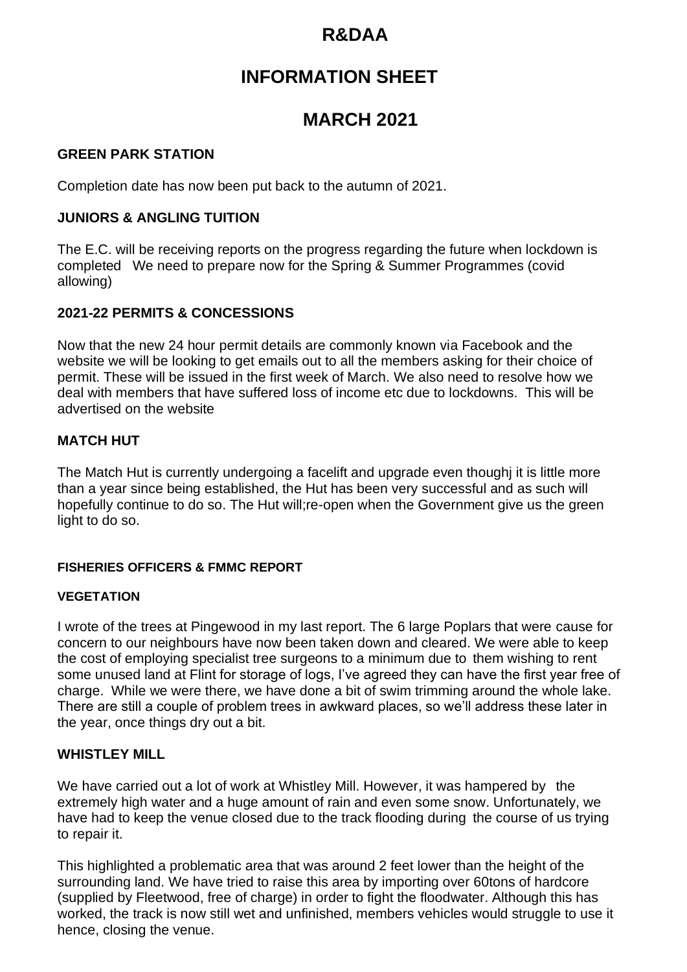# **R&DAA**

# **INFORMATION SHEET**

## **MARCH 2021**

#### **GREEN PARK STATION**

Completion date has now been put back to the autumn of 2021.

## **JUNIORS & ANGLING TUITION**

The E.C. will be receiving reports on the progress regarding the future when lockdown is completed We need to prepare now for the Spring & Summer Programmes (covid allowing)

## **2021-22 PERMITS & CONCESSIONS**

Now that the new 24 hour permit details are commonly known via Facebook and the website we will be looking to get emails out to all the members asking for their choice of permit. These will be issued in the first week of March. We also need to resolve how we deal with members that have suffered loss of income etc due to lockdowns. This will be advertised on the website

#### **MATCH HUT**

The Match Hut is currently undergoing a facelift and upgrade even thoughj it is little more than a year since being established, the Hut has been very successful and as such will hopefully continue to do so. The Hut will;re-open when the Government give us the green light to do so.

#### **FISHERIES OFFICERS & FMMC REPORT**

#### **VEGETATION**

I wrote of the trees at Pingewood in my last report. The 6 large Poplars that were cause for concern to our neighbours have now been taken down and cleared. We were able to keep the cost of employing specialist tree surgeons to a minimum due to them wishing to rent some unused land at Flint for storage of logs, I've agreed they can have the first year free of charge. While we were there, we have done a bit of swim trimming around the whole lake. There are still a couple of problem trees in awkward places, so we'll address these later in the year, once things dry out a bit.

## **WHISTLEY MILL**

We have carried out a lot of work at Whistley Mill. However, it was hampered by the extremely high water and a huge amount of rain and even some snow. Unfortunately, we have had to keep the venue closed due to the track flooding during the course of us trying to repair it.

This highlighted a problematic area that was around 2 feet lower than the height of the surrounding land. We have tried to raise this area by importing over 60tons of hardcore (supplied by Fleetwood, free of charge) in order to fight the floodwater. Although this has worked, the track is now still wet and unfinished, members vehicles would struggle to use it hence, closing the venue.